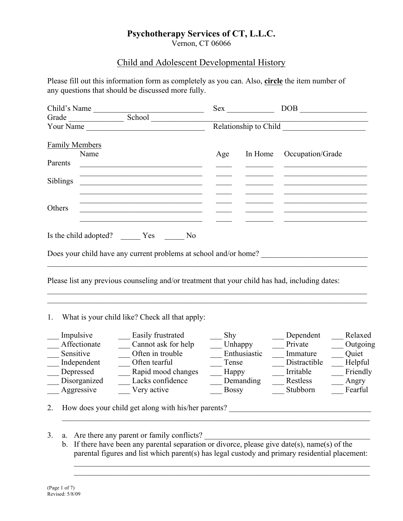# **Psychotherapy Services of CT, L.L.C.**

Vernon, CT 06066

# Child and Adolescent Developmental History

Please fill out this information form as completely as you can. Also, **circle** the item number of any questions that should be discussed more fully.

| Child's Name          |                                                                                                                       | Sex            |                       | <b>DOB</b>       |  |
|-----------------------|-----------------------------------------------------------------------------------------------------------------------|----------------|-----------------------|------------------|--|
| Grade                 | School                                                                                                                |                |                       |                  |  |
| Your Name             |                                                                                                                       |                | Relationship to Child |                  |  |
| <b>Family Members</b> |                                                                                                                       |                |                       |                  |  |
|                       | Name                                                                                                                  | Age            | In Home               | Occupation/Grade |  |
| Parents               |                                                                                                                       |                |                       |                  |  |
| Siblings              | <u> 1989 - Johann Stoff, deutscher Stoff, der Stoff, der Stoff, der Stoff, der Stoff, der Stoff, der Stoff, der S</u> |                |                       |                  |  |
| Others                | <u> 2002 - Jan James James Jan James James Jan James James James James James James James James James James James</u>  |                |                       |                  |  |
|                       | Is the child adopted? Yes                                                                                             | N <sub>0</sub> |                       |                  |  |
|                       | Does your child have any current problems at school and/or home?                                                      |                |                       |                  |  |
|                       |                                                                                                                       |                |                       |                  |  |

Please list any previous counseling and/or treatment that your child has had, including dates:

 $\_$  , and the contribution of the contribution of the contribution of the contribution of  $\mathcal{L}_\text{max}$  $\_$  , and the contribution of the contribution of the contribution of the contribution of  $\mathcal{L}_\text{max}$ 

1. What is your child like? Check all that apply:

| Impulsive    | Easily frustrated                                   | Shy          | Dependent    | Relaxed  |
|--------------|-----------------------------------------------------|--------------|--------------|----------|
| Affectionate | Cannot ask for help                                 | Unhappy      | Private      | Outgoing |
| Sensitive    | Often in trouble                                    | Enthusiastic | Immature     | Quiet    |
| Independent  | Often tearful                                       | Tense        | Distractible | Helpful  |
| Depressed    | Rapid mood changes                                  | Happy        | Irritable    | Friendly |
| Disorganized | Lacks confidence                                    | Demanding    | Restless     | Angry    |
| Aggressive   | Very active                                         | <b>Bossy</b> | Stubborn     | Fearful  |
|              | How does your child get along with his/her parents? |              |              |          |

- $\_$  , and the contribution of the contribution of the contribution of the contribution of  $\mathcal{L}_\text{max}$
- 3. a. Are there any parent or family conflicts?
	- b. If there have been any parental separation or divorce, please give date(s), name(s) of the parental figures and list which parent(s) has legal custody and primary residential placement:

 $\_$  , and the contribution of the contribution of the contribution of the contribution of  $\mathcal{L}_\text{max}$  $\_$  , and the contribution of the contribution of the contribution of the contribution of  $\mathcal{L}_\text{max}$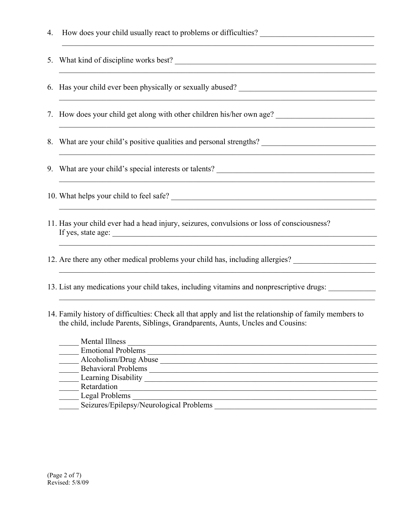| 4. | <u> 1989 - Johann Stoff, deutscher Stoffen und der Stoffen und der Stoffen und der Stoffen und der Stoffen und der</u>                                  |
|----|---------------------------------------------------------------------------------------------------------------------------------------------------------|
| 5. | What kind of discipline works best?                                                                                                                     |
| 6. | Has your child ever been physically or sexually abused? _________________________<br><u> 1989 - Jan Samuel Barbara, margaret eta idazlea (h. 1989).</u> |
|    | 7. How does your child get along with other children his/her own age?                                                                                   |
| 8. | ,我们也不能在这里的时候,我们也不能在这里的时候,我们也不能在这里的时候,我们也不能会不能在这里的时候,我们也不能会不能会不能会不能会不能会不能会不能会不能会不                                                                        |
| 9. |                                                                                                                                                         |
|    |                                                                                                                                                         |
|    | 11. Has your child ever had a head injury, seizures, convulsions or loss of consciousness?<br>If yes, state age:                                        |
|    | 12. Are there any other medical problems your child has, including allergies? ______________________                                                    |
|    | 13. List any medications your child takes, including vitamins and nonprescriptive drugs:                                                                |

14. Family history of difficulties: Check all that apply and list the relationship of family members to the child, include Parents, Siblings, Grandparents, Aunts, Uncles and Cousins:

| Mental Illness                          |  |
|-----------------------------------------|--|
| <b>Emotional Problems</b>               |  |
| Alcoholism/Drug Abuse                   |  |
| <b>Behavioral Problems</b>              |  |
| Learning Disability                     |  |
| Retardation                             |  |
| Legal Problems                          |  |
| Seizures/Epilepsy/Neurological Problems |  |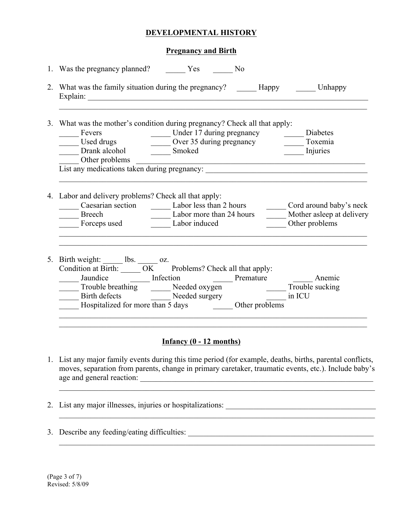### **DEVELOPMENTAL HISTORY**

#### **Pregnancy and Birth**

| 3. What was the mother's condition during pregnancy? Check all that apply:<br>Fevers<br>Used drugs Used drugs Used drugs Used drugs Used drugs Used drugs Used drugs Used drugs Used drugs Used drugs Used drugs Used drugs Used drugs Used drugs Used drugs Used drugs Used drugs Used drugs Used drugs Used<br>Other problems<br>Uther problems<br>List any medications taken during pregnancy: |                                             |
|---------------------------------------------------------------------------------------------------------------------------------------------------------------------------------------------------------------------------------------------------------------------------------------------------------------------------------------------------------------------------------------------------|---------------------------------------------|
| 4. Labor and delivery problems? Check all that apply:<br>Breech Labor more than 24 hours<br>Forceps used Labor induced                                                                                                                                                                                                                                                                            | Mother asleep at delivery<br>Other problems |
| 5. Birth weight: $\frac{1}{\sqrt{CK}}$ bs. $\frac{1}{\sqrt{CK}}$ oz.<br>Condition at Birth: $\frac{1}{\sqrt{CK}}$ Problems? Check all that apply:<br>Jaundice<br>Trouble breathing<br>Birth defects<br>Hospitalized for more than 5 days<br>Trouble sucking<br>Communication<br>Discovered Surgery<br>Other problems<br>Other problems                                                            |                                             |
|                                                                                                                                                                                                                                                                                                                                                                                                   |                                             |

## **Infancy (0 - 12 months)**

1. List any major family events during this time period (for example, deaths, births, parental conflicts, moves, separation from parents, change in primary caretaker, traumatic events, etc.). Include baby's age and general reaction:

 $\_$  , and the contribution of the contribution of the contribution of the contribution of  $\mathcal{L}_\text{max}$ 

 $\mathcal{L}_\mathcal{L} = \mathcal{L}_\mathcal{L} = \mathcal{L}_\mathcal{L} = \mathcal{L}_\mathcal{L} = \mathcal{L}_\mathcal{L} = \mathcal{L}_\mathcal{L} = \mathcal{L}_\mathcal{L} = \mathcal{L}_\mathcal{L} = \mathcal{L}_\mathcal{L} = \mathcal{L}_\mathcal{L} = \mathcal{L}_\mathcal{L} = \mathcal{L}_\mathcal{L} = \mathcal{L}_\mathcal{L} = \mathcal{L}_\mathcal{L} = \mathcal{L}_\mathcal{L} = \mathcal{L}_\mathcal{L} = \mathcal{L}_\mathcal{L}$ 

2. List any major illnesses, injuries or hospitalizations: \_\_\_\_\_\_\_\_\_\_\_\_\_\_\_\_\_\_\_\_\_\_\_\_\_\_\_\_\_\_\_\_\_\_\_\_\_\_

 $\_$  , and the set of the set of the set of the set of the set of the set of the set of the set of the set of the set of the set of the set of the set of the set of the set of the set of the set of the set of the set of th

3. Describe any feeding/eating difficulties: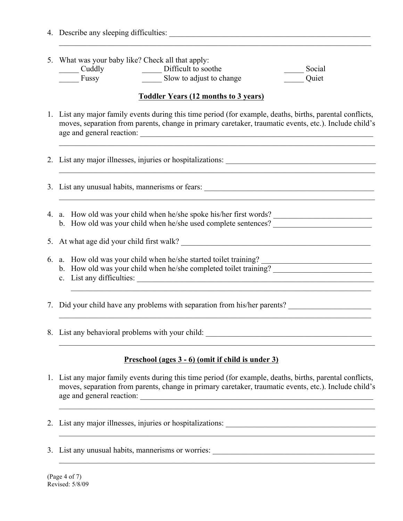- 4. Describe any sleeping difficulties:
- 5. What was your baby like? Check all that apply: \_\_\_\_\_ Cuddly \_\_\_\_\_ Difficult to soothe \_\_\_\_\_ Social

| Cuuui v | DHIRAIL W SOUTIL         | ovcia |
|---------|--------------------------|-------|
| Fussy   | Slow to adjust to change | Quiet |

#### **Toddler Years (12 months to 3 years)**

1. List any major family events during this time period (for example, deaths, births, parental conflicts, moves, separation from parents, change in primary caretaker, traumatic events, etc.). Include child's age and general reaction:

 $\_$  , and the contribution of the contribution of the contribution of the contribution of  $\mathcal{L}_\text{max}$ 

 $\_$  , and the contribution of the contribution of the contribution of the contribution of  $\mathcal{L}_\text{max}$ 

2. List any major illnesses, injuries or hospitalizations:  $\mathcal{L}_\mathcal{L} = \mathcal{L}_\mathcal{L} = \mathcal{L}_\mathcal{L} = \mathcal{L}_\mathcal{L} = \mathcal{L}_\mathcal{L} = \mathcal{L}_\mathcal{L} = \mathcal{L}_\mathcal{L} = \mathcal{L}_\mathcal{L} = \mathcal{L}_\mathcal{L} = \mathcal{L}_\mathcal{L} = \mathcal{L}_\mathcal{L} = \mathcal{L}_\mathcal{L} = \mathcal{L}_\mathcal{L} = \mathcal{L}_\mathcal{L} = \mathcal{L}_\mathcal{L} = \mathcal{L}_\mathcal{L} = \mathcal{L}_\mathcal{L}$ 3. List any unusual habits, mannerisms or fears:  $\_$  , and the contribution of the contribution of the contribution of the contribution of  $\mathcal{L}_\text{max}$ 4. a. How old was your child when he/she spoke his/her first words? \_\_\_\_\_\_\_\_\_\_\_\_\_\_\_\_\_\_\_\_\_\_\_\_\_ b. How old was your child when he/she used complete sentences? \_\_\_\_\_\_\_\_\_\_\_\_\_\_\_\_\_\_ 5. At what age did your child first walk? 6. a. How old was your child when he/she started toilet training? \_\_\_\_\_\_\_\_\_\_\_\_\_\_\_\_\_\_\_\_\_\_\_\_\_\_\_\_ b. How old was your child when he/she completed toilet training? c. List any difficulties: \_\_\_\_\_\_\_\_\_\_\_\_\_\_\_\_\_\_\_\_\_\_\_\_\_\_\_\_\_\_\_\_\_\_\_\_\_\_\_\_\_\_\_\_\_\_\_\_\_\_\_\_\_\_\_\_\_\_\_\_  $\_$  , and the contribution of the contribution of the contribution of the contribution of  $\mathcal{L}_\text{max}$ 7. Did your child have any problems with separation from his/her parents?  $\_$  , and the contribution of the contribution of the contribution of the contribution of  $\mathcal{L}_\text{max}$ 8. List any behavioral problems with your child: \_\_\_\_\_\_\_\_\_\_\_\_\_\_\_\_\_\_\_\_\_\_\_\_\_\_\_\_\_\_\_\_\_\_\_\_\_\_\_\_\_\_

#### **Preschool (ages 3 - 6) (omit if child is under 3)**

1. List any major family events during this time period (for example, deaths, births, parental conflicts, moves, separation from parents, change in primary caretaker, traumatic events, etc.). Include child's age and general reaction:

 $\_$  , and the contribution of the contribution of the contribution of the contribution of  $\mathcal{L}_\text{max}$ 

 $\mathcal{L}_\mathcal{L} = \{ \mathcal{L}_\mathcal{L} = \{ \mathcal{L}_\mathcal{L} = \{ \mathcal{L}_\mathcal{L} = \{ \mathcal{L}_\mathcal{L} = \{ \mathcal{L}_\mathcal{L} = \{ \mathcal{L}_\mathcal{L} = \{ \mathcal{L}_\mathcal{L} = \{ \mathcal{L}_\mathcal{L} = \{ \mathcal{L}_\mathcal{L} = \{ \mathcal{L}_\mathcal{L} = \{ \mathcal{L}_\mathcal{L} = \{ \mathcal{L}_\mathcal{L} = \{ \mathcal{L}_\mathcal{L} = \{ \mathcal{L}_\mathcal{$ 

 $\_$  , and the contribution of the contribution of the contribution of the contribution of  $\mathcal{L}_\text{max}$ 

- 2. List any major illnesses, injuries or hospitalizations: \_\_\_\_\_\_\_\_\_\_\_\_\_\_\_\_\_\_\_\_\_\_\_\_\_\_\_\_\_\_\_\_\_\_\_\_\_\_
- 3. List any unusual habits, mannerisms or worries: \_\_\_\_\_\_\_\_\_\_\_\_\_\_\_\_\_\_\_\_\_\_\_\_\_\_\_\_\_\_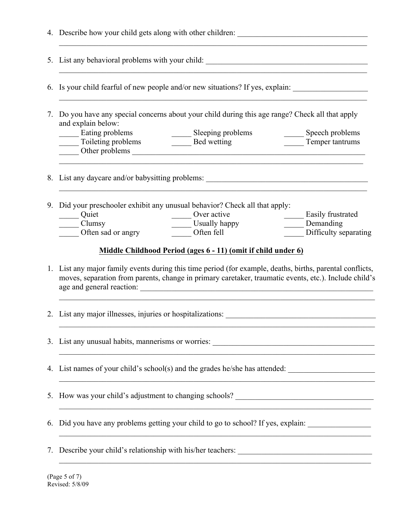|    | 4. Describe how your child gets along with other children:                                                                                                                                                                                                                                                                         |  |  |
|----|------------------------------------------------------------------------------------------------------------------------------------------------------------------------------------------------------------------------------------------------------------------------------------------------------------------------------------|--|--|
|    |                                                                                                                                                                                                                                                                                                                                    |  |  |
|    | 6. Is your child fearful of new people and/or new situations? If yes, explain:                                                                                                                                                                                                                                                     |  |  |
| 7. | Do you have any special concerns about your child during this age range? Check all that apply<br>and explain below:                                                                                                                                                                                                                |  |  |
|    | Eating problems<br>Sleeping problems<br>Speech problems<br>Lating problems<br>Toileting problems<br>Toileting problems<br>Toileting problems<br>Toileting problems<br>Toileting problems<br>Toileting problems<br>Toileting problems<br>Toileting problems<br>Toileting problems<br>Toileting problems<br>Toile<br>Temper tantrums |  |  |
|    |                                                                                                                                                                                                                                                                                                                                    |  |  |
| 9. | Did your preschooler exhibit any unusual behavior? Check all that apply:<br>Quiet<br>$\frac{1}{2}$ Over active<br><b>Easily frustrated</b><br>Usually happy<br>Often fell<br>Demanding<br>$\equiv$ Clumsy<br>Often sad or angry<br>Difficulty separating                                                                           |  |  |
|    | Middle Childhood Period (ages 6 - 11) (omit if child under 6)                                                                                                                                                                                                                                                                      |  |  |
|    | 1. List any major family events during this time period (for example, deaths, births, parental conflicts,<br>moves, separation from parents, change in primary caretaker, traumatic events, etc.). Include child's                                                                                                                 |  |  |
|    |                                                                                                                                                                                                                                                                                                                                    |  |  |
|    |                                                                                                                                                                                                                                                                                                                                    |  |  |
|    | 4. List names of your child's school(s) and the grades he/she has attended:<br><u> 1989 - Johann John Harry Harry Harry Harry Harry Harry Harry Harry Harry Harry Harry Harry Harry Harry Harry</u>                                                                                                                                |  |  |
|    | 5. How was your child's adjustment to changing schools? _________________________<br><u> 1989 - Johann Stoff, amerikansk politiker (d. 1989)</u>                                                                                                                                                                                   |  |  |
| 6. | Did you have any problems getting your child to go to school? If yes, explain: ____________________                                                                                                                                                                                                                                |  |  |
| 7. | <u> 1989 - Johann Stoff, amerikansk politiker (d. 1989)</u>                                                                                                                                                                                                                                                                        |  |  |
|    |                                                                                                                                                                                                                                                                                                                                    |  |  |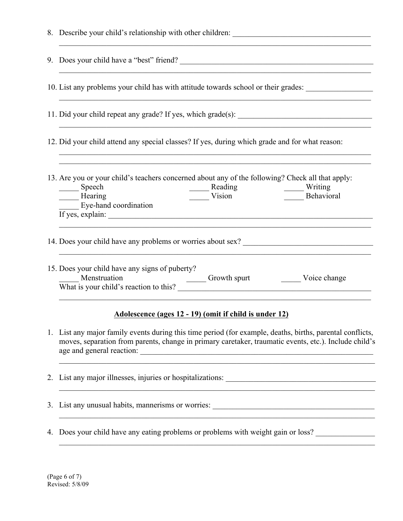|    | <u> 1989 - Johann John Stoff, mars eta berriaren 1989 - Johann Amerikaansk aktrisektor (</u>                                                                                                                                                                                                               |
|----|------------------------------------------------------------------------------------------------------------------------------------------------------------------------------------------------------------------------------------------------------------------------------------------------------------|
|    | 9. Does your child have a "best" friend?                                                                                                                                                                                                                                                                   |
|    | 10. List any problems your child has with attitude towards school or their grades:<br>and the control of the control of the control of the control of the control of the control of the control of the                                                                                                     |
|    | <u> 1989 - Johann Stoff, amerikansk politiker (* 1908)</u>                                                                                                                                                                                                                                                 |
|    | 12. Did your child attend any special classes? If yes, during which grade and for what reason:<br>,我们也不能在这里的时候,我们也不能在这里的时候,我们也不能在这里的时候,我们也不能会在这里的时候,我们也不能会在这里的时候,我们也不能会在这里的时候,我们也不能                                                                                                                        |
|    | 13. Are you or your child's teachers concerned about any of the following? Check all that apply:<br>Speech<br>Reading<br>Vision Writing<br>Behavio<br>Behavioral<br>Hearing<br>Eye-hand coordination<br>$\overline{If}$ yes, explain: $\overline{f}$                                                       |
|    |                                                                                                                                                                                                                                                                                                            |
|    | 15. Does your child have any signs of puberty?<br>Menstruation<br>Menstruation<br>What is your child's reaction to this? <u>Consecution</u><br>Consecution 2014 and 2015 and 2016 and 2016 and 2016 and 2016 and 2016 and 2016 and 2016 and 2016 and 2016 and 2016 and 2016 and 2016 and 2016 and 2016 and |
|    | Adolescence (ages 12 - 19) (omit if child is under 12)                                                                                                                                                                                                                                                     |
| 1. | List any major family events during this time period (for example, deaths, births, parental conflicts,<br>moves, separation from parents, change in primary caretaker, traumatic events, etc.). Include child's                                                                                            |
| 2. | <u> 1980 - Johann Barbara, martxa alemaniar a</u>                                                                                                                                                                                                                                                          |
| 3. | List any unusual habits, mannerisms or worries:                                                                                                                                                                                                                                                            |

4. Does your child have any eating problems or problems with weight gain or loss?

 $\_$  , and the contribution of the contribution of the contribution of the contribution of  $\mathcal{L}_\text{max}$ 

 $\_$  , and the contribution of the contribution of the contribution of the contribution of  $\mathcal{L}_\text{max}$